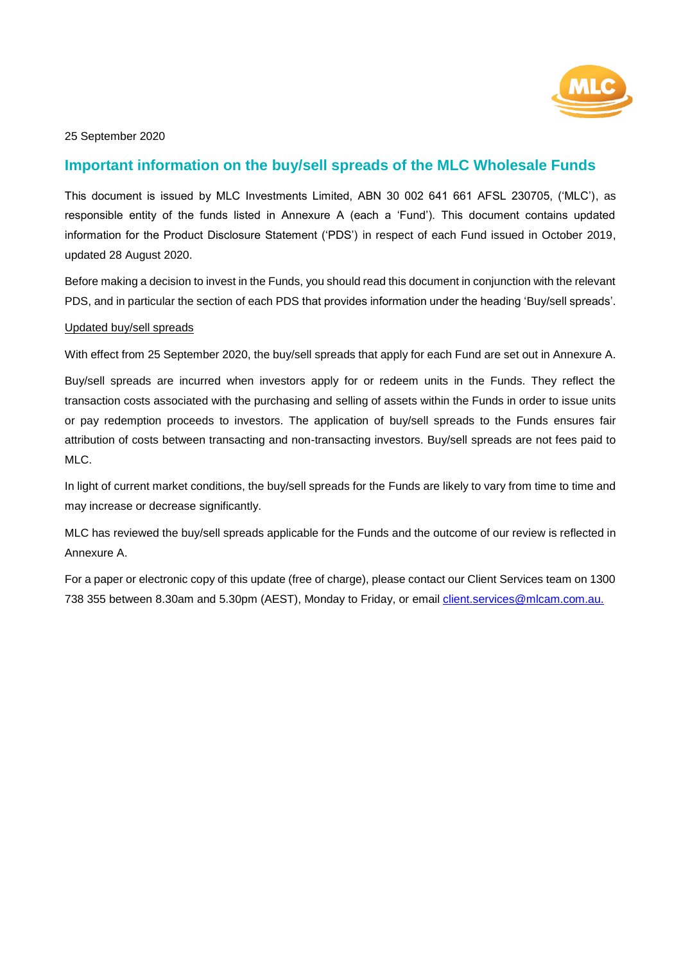

25 September 2020

# **Important information on the buy/sell spreads of the MLC Wholesale Funds**

This document is issued by MLC Investments Limited, ABN 30 002 641 661 AFSL 230705, ('MLC'), as responsible entity of the funds listed in Annexure A (each a 'Fund'). This document contains updated information for the Product Disclosure Statement ('PDS') in respect of each Fund issued in October 2019, updated 28 August 2020.

Before making a decision to invest in the Funds, you should read this document in conjunction with the relevant PDS, and in particular the section of each PDS that provides information under the heading 'Buy/sell spreads'.

#### Updated buy/sell spreads

With effect from 25 September 2020, the buy/sell spreads that apply for each Fund are set out in Annexure A.

Buy/sell spreads are incurred when investors apply for or redeem units in the Funds. They reflect the transaction costs associated with the purchasing and selling of assets within the Funds in order to issue units or pay redemption proceeds to investors. The application of buy/sell spreads to the Funds ensures fair attribution of costs between transacting and non-transacting investors. Buy/sell spreads are not fees paid to MLC.

In light of current market conditions, the buy/sell spreads for the Funds are likely to vary from time to time and may increase or decrease significantly.

MLC has reviewed the buy/sell spreads applicable for the Funds and the outcome of our review is reflected in Annexure A.

For a paper or electronic copy of this update (free of charge), please contact our Client Services team on 1300 738 355 between 8.30am and 5.30pm (AEST), Monday to Friday, or email client.services@mlcam.com.au.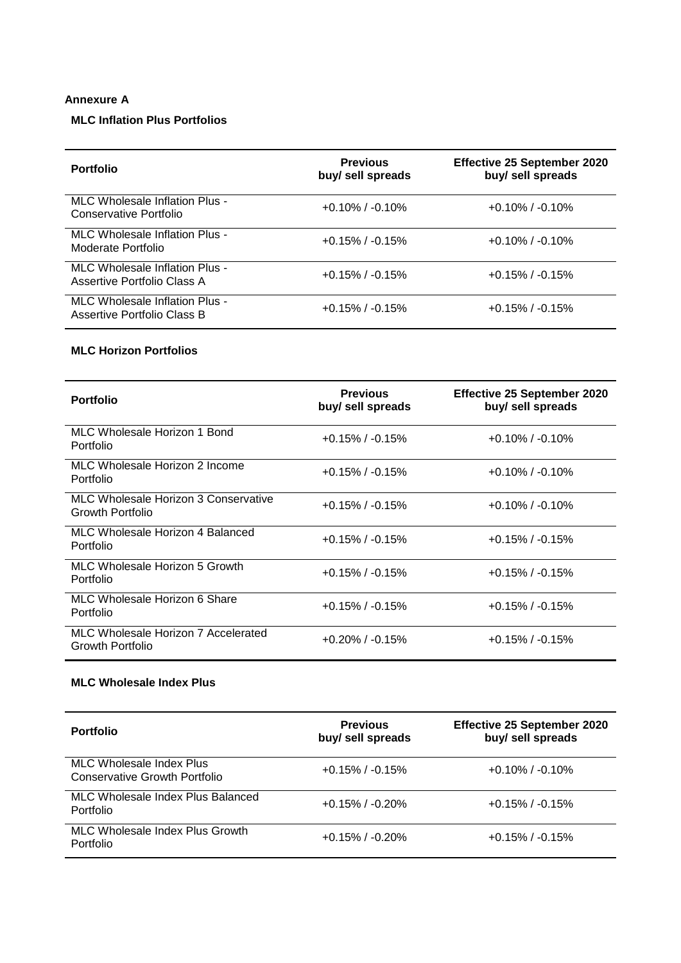### **Annexure A**

# **MLC Inflation Plus Portfolios**

| <b>Portfolio</b>                                              | <b>Previous</b><br>buy/ sell spreads | <b>Effective 25 September 2020</b><br>buy/ sell spreads |
|---------------------------------------------------------------|--------------------------------------|---------------------------------------------------------|
| MLC Wholesale Inflation Plus -<br>Conservative Portfolio      | $+0.10\%$ / $-0.10\%$                | $+0.10\%$ / $-0.10\%$                                   |
| MLC Wholesale Inflation Plus -<br>Moderate Portfolio          | $+0.15\%$ / $-0.15\%$                | $+0.10\%$ / $-0.10\%$                                   |
| MLC Wholesale Inflation Plus -<br>Assertive Portfolio Class A | $+0.15\%$ / $-0.15\%$                | $+0.15\%$ / $-0.15\%$                                   |
| MLC Wholesale Inflation Plus -<br>Assertive Portfolio Class B | $+0.15\%$ / $-0.15\%$                | $+0.15\%$ / $-0.15\%$                                   |

#### **MLC Horizon Portfolios**

| <b>Portfolio</b>                                                | <b>Previous</b><br>buy/ sell spreads | <b>Effective 25 September 2020</b><br>buy/ sell spreads |
|-----------------------------------------------------------------|--------------------------------------|---------------------------------------------------------|
| MLC Wholesale Horizon 1 Bond<br>Portfolio                       | $+0.15\%$ / $-0.15\%$                | $+0.10\%$ / $-0.10\%$                                   |
| MLC Wholesale Horizon 2 Income<br>Portfolio                     | $+0.15\%$ / $-0.15\%$                | $+0.10\%$ / $-0.10\%$                                   |
| <b>MLC Wholesale Horizon 3 Conservative</b><br>Growth Portfolio | $+0.15\%$ / $-0.15\%$                | $+0.10\%$ / $-0.10\%$                                   |
| MLC Wholesale Horizon 4 Balanced<br>Portfolio                   | $+0.15\%$ / $-0.15\%$                | $+0.15\%$ / $-0.15\%$                                   |
| MLC Wholesale Horizon 5 Growth<br>Portfolio                     | $+0.15\%$ / $-0.15\%$                | $+0.15\%$ / $-0.15\%$                                   |
| MLC Wholesale Horizon 6 Share<br>Portfolio                      | $+0.15\%$ / $-0.15\%$                | $+0.15\%$ / $-0.15\%$                                   |
| MLC Wholesale Horizon 7 Accelerated<br><b>Growth Portfolio</b>  | $+0.20\%$ / $-0.15\%$                | $+0.15\%$ / $-0.15\%$                                   |

# **MLC Wholesale Index Plus**

| <b>Portfolio</b>                                          | <b>Previous</b><br>buy/ sell spreads | <b>Effective 25 September 2020</b><br>buy/ sell spreads |
|-----------------------------------------------------------|--------------------------------------|---------------------------------------------------------|
| MLC Wholesale Index Plus<br>Conservative Growth Portfolio | $+0.15\%$ / $-0.15\%$                | $+0.10\%$ / $-0.10\%$                                   |
| MLC Wholesale Index Plus Balanced<br>Portfolio            | $+0.15\%$ / $-0.20\%$                | $+0.15\%$ / $-0.15\%$                                   |
| MLC Wholesale Index Plus Growth<br>Portfolio              | $+0.15\%$ / $-0.20\%$                | $+0.15\%$ / $-0.15\%$                                   |